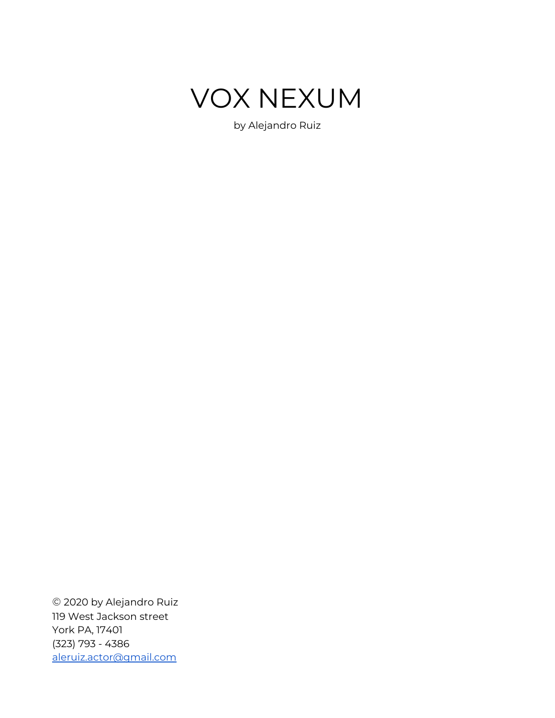

by Alejandro Ruiz

© 2020 by Alejandro Ruiz 119 West Jackson street York PA, 17401 (323) 793 - 4386 [aleruiz.actor@gmail.com](mailto:aleruiz.actor@gmail.com)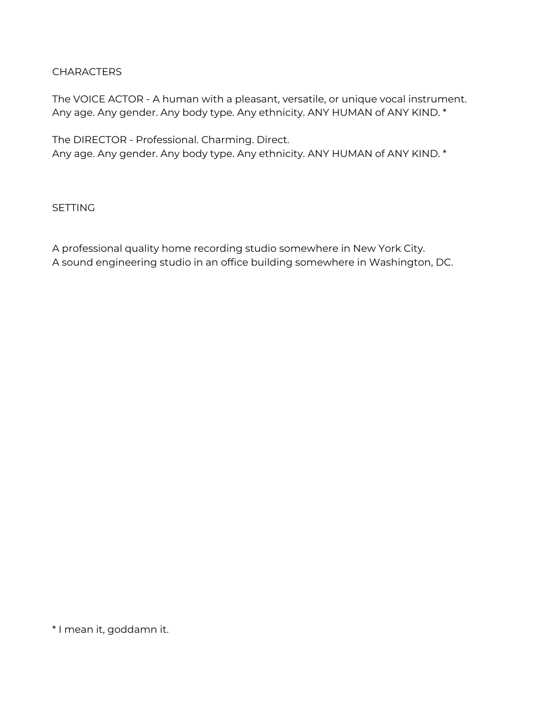#### CHARACTERS

The VOICE ACTOR - A human with a pleasant, versatile, or unique vocal instrument. Any age. Any gender. Any body type. Any ethnicity. ANY HUMAN of ANY KIND. \*

The DIRECTOR - Professional. Charming. Direct. Any age. Any gender. Any body type. Any ethnicity. ANY HUMAN of ANY KIND. \*

**SETTING** 

A professional quality home recording studio somewhere in New York City. A sound engineering studio in an office building somewhere in Washington, DC.

\* I mean it, goddamn it.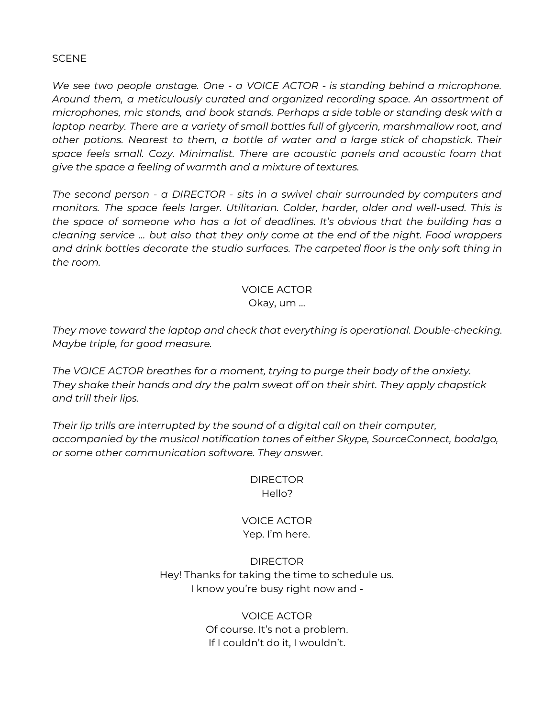**SCENE** 

*We see two people onstage. One - a VOICE ACTOR - is standing behind a microphone. Around them, a meticulously curated and organized recording space. An assortment of microphones, mic stands, and book stands. Perhaps a side table or standing desk with a laptop nearby. There are a variety of small bottles full of glycerin, marshmallow root, and other potions. Nearest to them, a bottle of water and a large stick of chapstick. Their space feels small. Cozy. Minimalist. There are acoustic panels and acoustic foam that give the space a feeling of warmth and a mixture of textures.*

*The second person - a DIRECTOR - sits in a swivel chair surrounded by computers and monitors. The space feels larger. Utilitarian. Colder, harder, older and well-used. This is the space of someone who has a lot of deadlines. It's obvious that the building has a cleaning service … but also that they only come at the end of the night. Food wrappers and drink bottles decorate the studio surfaces. The carpeted floor is the only soft thing in the room.*

# VOICE ACTOR

Okay, um …

*They move toward the laptop and check that everything is operational. Double-checking. Maybe triple, for good measure.*

*The VOICE ACTOR breathes for a moment, trying to purge their body of the anxiety. They shake their hands and dry the palm sweat off on their shirt. They apply chapstick and trill their lips.*

*Their lip trills are interrupted by the sound of a digital call on their computer, accompanied by the musical notification tones of either Skype, SourceConnect, bodalgo, or some other communication software. They answer.*

> DIRECTOR Hello?

# VOICE ACTOR Yep. I'm here.

# DIRECTOR Hey! Thanks for taking the time to schedule us. I know you're busy right now and -

VOICE ACTOR Of course. It's not a problem. If I couldn't do it, I wouldn't.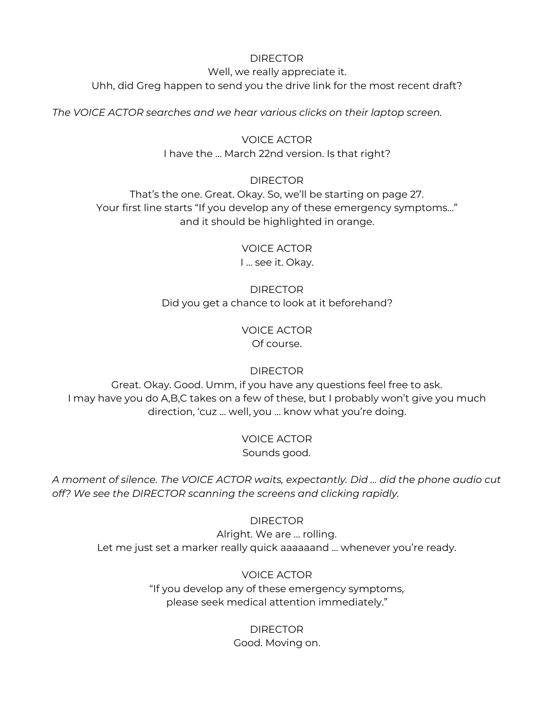#### DIRECTOR

Well, we really appreciate it. Uhh, did Greg happen to send you the drive link for the most recent draft?

*The VOICE ACTOR searches and we hear various clicks on their laptop screen.*

### VOICE ACTOR I have the … March 22nd version. Is that right?

#### DIRECTOR

That's the one. Great. Okay. So, we'll be starting on page 27. Your first line starts "If you develop any of these emergency symptoms…" and it should be highlighted in orange.

> VOICE ACTOR I … see it. Okay.

DIRECTOR Did you get a chance to look at it beforehand?

> VOICE ACTOR Of course.

> > **DIRECTOR**

Great. Okay. Good. Umm, if you have any questions feel free to ask. I may have you do A,B,C takes on a few of these, but I probably won't give you much direction, 'cuz … well, you … know what you're doing.

> VOICE ACTOR Sounds good.

*A moment of silence. The VOICE ACTOR waits, expectantly. Did … did the phone audio cut off? We see the DIRECTOR scanning the screens and clicking rapidly.*

#### DIRECTOR

Alright. We are … rolling. Let me just set a marker really quick aaaaaand … whenever you're ready.

> VOICE ACTOR "If you develop any of these emergency symptoms, please seek medical attention immediately."

> > DIRECTOR Good. Moving on.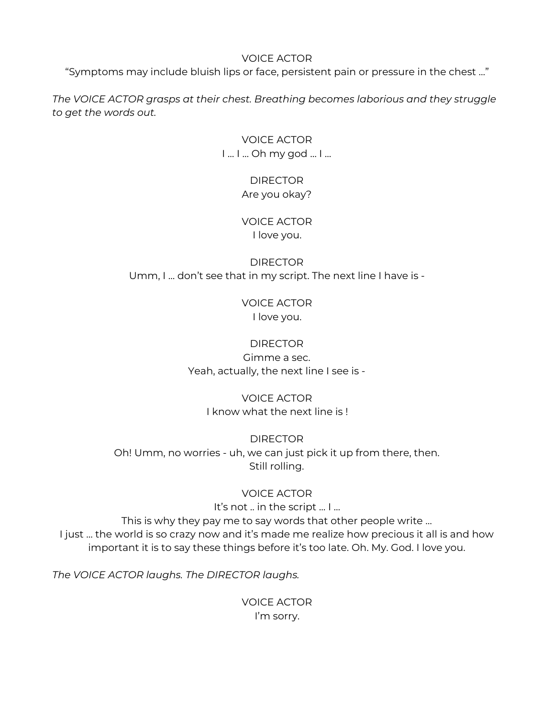#### VOICE ACTOR

"Symptoms may include bluish lips or face, persistent pain or pressure in the chest …"

*The VOICE ACTOR grasps at their chest. Breathing becomes laborious and they struggle to get the words out.*

> VOICE ACTOR I … I … Oh my god … I ...

# DIRECTOR Are you okay?

# VOICE ACTOR I love you.

DIRECTOR Umm, I … don't see that in my script. The next line I have is -

> VOICE ACTOR I love you.

# **DIRECTOR**

Gimme a sec. Yeah, actually, the next line I see is -

# VOICE ACTOR

I know what the next line is !

DIRECTOR Oh! Umm, no worries - uh, we can just pick it up from there, then. Still rolling.

# VOICE ACTOR

It's not .. in the script … I …

This is why they pay me to say words that other people write … I just … the world is so crazy now and it's made me realize how precious it all is and how important it is to say these things before it's too late. Oh. My. God. I love you.

*The VOICE ACTOR laughs. The DIRECTOR laughs.*

VOICE ACTOR I'm sorry.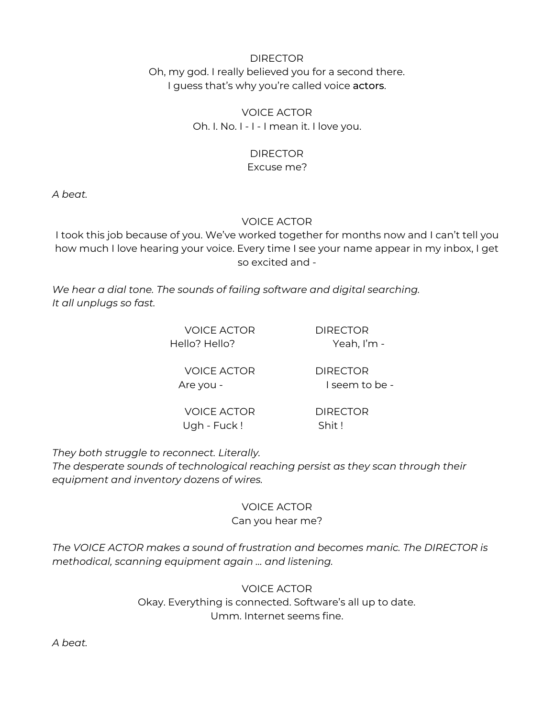# DIRECTOR Oh, my god. I really believed you for a second there. I guess that's why you're called voice actors.

VOICE ACTOR Oh. I. No. I - I - I mean it. I love you.

### DIRECTOR

# Excuse me?

*A beat.*

# VOICE ACTOR

I took this job because of you. We've worked together for months now and I can't tell you how much I love hearing your voice. Every time I see your name appear in my inbox, I get so excited and -

*We hear a dial tone. The sounds of failing software and digital searching. It all unplugs so fast.*

> VOICE ACTOR DIRECTOR Hello? Hello? Yeah, I'm -

VOICE ACTOR DIRECTOR Are you - I seem to be -

VOICE ACTOR DIRECTOR Ugh - Fuck ! Shit !

*They both struggle to reconnect. Literally.*

*The desperate sounds of technological reaching persist as they scan through their equipment and inventory dozens of wires.*

#### VOICE ACTOR Can you hear me?

*The VOICE ACTOR makes a sound of frustration and becomes manic. The DIRECTOR is methodical, scanning equipment again … and listening.*

> VOICE ACTOR Okay. Everything is connected. Software's all up to date. Umm. Internet seems fine.

*A beat.*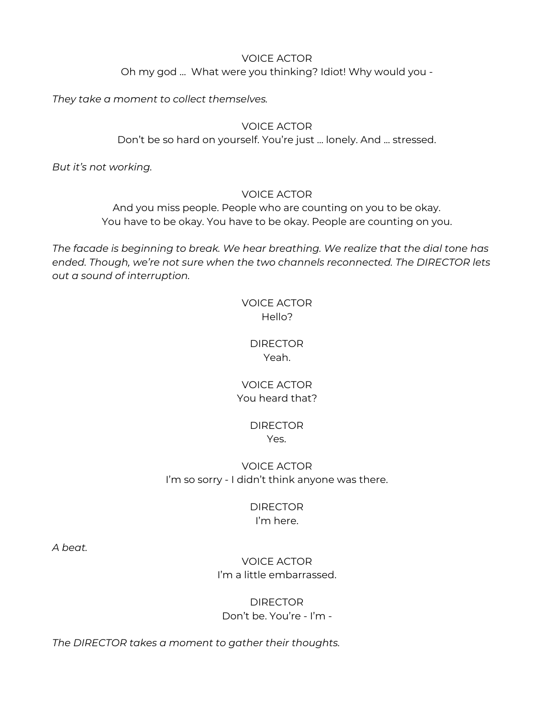#### VOICE ACTOR

Oh my god … What were you thinking? Idiot! Why would you -

*They take a moment to collect themselves.*

#### VOICE ACTOR

Don't be so hard on yourself. You're just ... lonely. And ... stressed.

*But it's not working.*

#### VOICE ACTOR

And you miss people. People who are counting on you to be okay. You have to be okay. You have to be okay. People are counting on you.

*The facade is beginning to break. We hear breathing. We realize that the dial tone has ended. Though, we're not sure when the two channels reconnected. The DIRECTOR lets out a sound of interruption.*

# VOICE ACTOR Hello?

# DIRECTOR Yeah.

# VOICE ACTOR You heard that?

### DIRECTOR Yes.

# VOICE ACTOR I'm so sorry - I didn't think anyone was there.

### DIRECTOR I'm here.

*A beat.*

# VOICE ACTOR I'm a little embarrassed.

# DIRECTOR Don't be. You're - I'm -

*The DIRECTOR takes a moment to gather their thoughts.*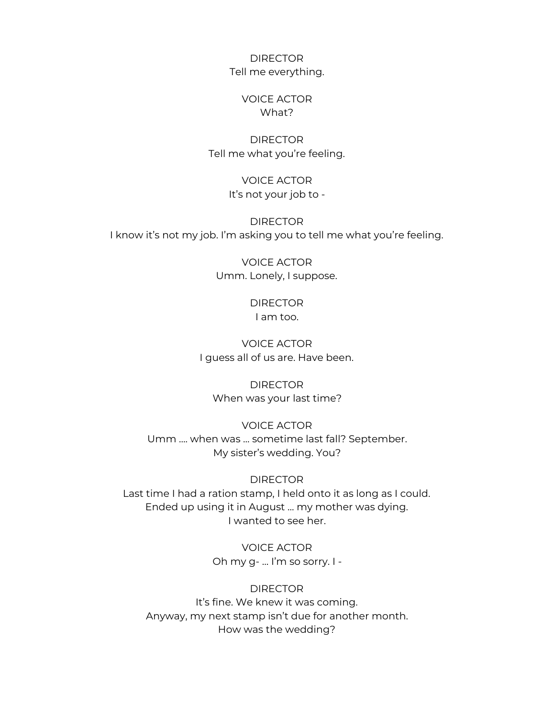DIRECTOR Tell me everything.

#### VOICE ACTOR What?

#### DIRECTOR Tell me what you're feeling.

#### VOICE ACTOR It's not your job to -

DIRECTOR I know it's not my job. I'm asking you to tell me what you're feeling.

> VOICE ACTOR Umm. Lonely, I suppose.

> > DIRECTOR I am too.

VOICE ACTOR I guess all of us are. Have been.

DIRECTOR When was your last time?

VOICE ACTOR Umm …. when was … sometime last fall? September. My sister's wedding. You?

DIRECTOR

Last time I had a ration stamp, I held onto it as long as I could. Ended up using it in August … my mother was dying. I wanted to see her.

> VOICE ACTOR Oh my g- … I'm so sorry. I -

DIRECTOR It's fine. We knew it was coming. Anyway, my next stamp isn't due for another month. How was the wedding?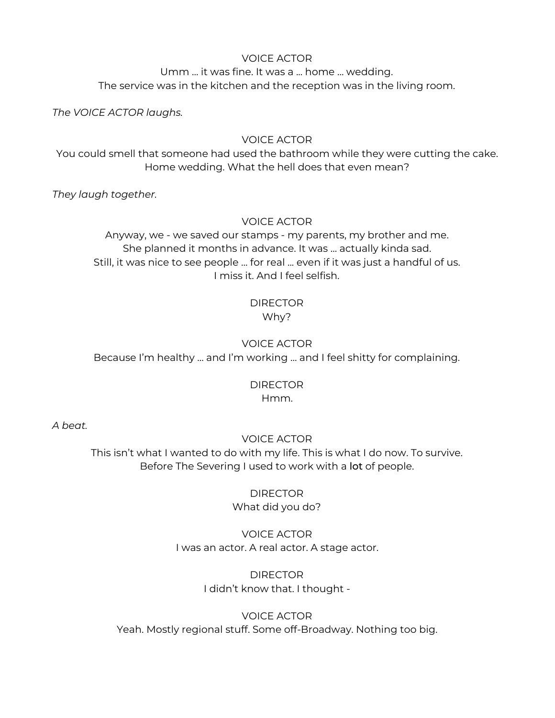#### VOICE ACTOR

Umm … it was fine. It was a ... home … wedding. The service was in the kitchen and the reception was in the living room.

*The VOICE ACTOR laughs.*

#### VOICE ACTOR

You could smell that someone had used the bathroom while they were cutting the cake. Home wedding. What the hell does that even mean?

*They laugh together.*

VOICE ACTOR

Anyway, we - we saved our stamps - my parents, my brother and me. She planned it months in advance. It was … actually kinda sad. Still, it was nice to see people … for real ... even if it was just a handful of us. I miss it. And I feel selfish.

# DIRECTOR Why?

VOICE ACTOR Because I'm healthy … and I'm working … and I feel shitty for complaining.

# DIRECTOR

Hmm.

*A beat.*

# VOICE ACTOR

This isn't what I wanted to do with my life. This is what I do now. To survive. Before The Severing I used to work with a lot of people.

#### DIRECTOR What did you do?

# VOICE ACTOR I was an actor. A real actor. A stage actor.

# **DIRECTOR** I didn't know that. I thought -

VOICE ACTOR Yeah. Mostly regional stuff. Some off-Broadway. Nothing too big.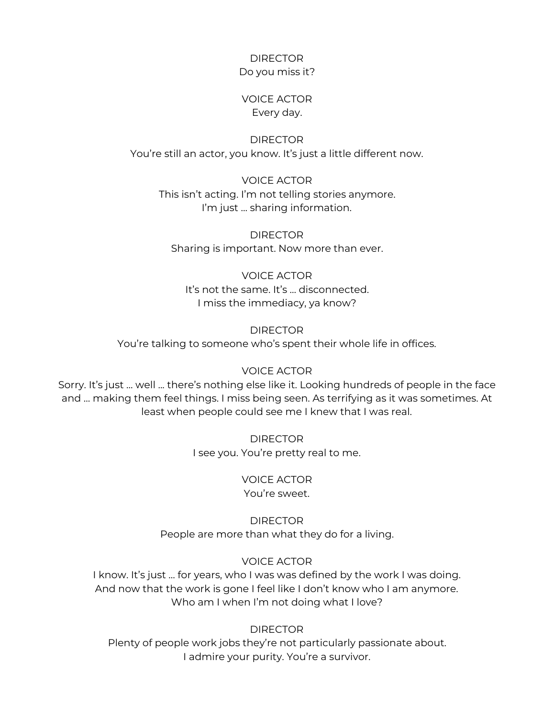#### DIRECTOR Do you miss it?

#### VOICE ACTOR Every day.

DIRECTOR You're still an actor, you know. It's just a little different now.

VOICE ACTOR This isn't acting. I'm not telling stories anymore. I'm just … sharing information.

DIRECTOR Sharing is important. Now more than ever.

#### VOICE ACTOR

It's not the same. It's … disconnected. I miss the immediacy, ya know?

DIRECTOR

You're talking to someone who's spent their whole life in offices.

#### VOICE ACTOR

Sorry. It's just … well ... there's nothing else like it. Looking hundreds of people in the face and … making them feel things. I miss being seen. As terrifying as it was sometimes. At least when people could see me I knew that I was real.

> DIRECTOR I see you. You're pretty real to me.

#### VOICE ACTOR You're sweet.

DIRECTOR People are more than what they do for a living.

# VOICE ACTOR

I know. It's just … for years, who I was was defined by the work I was doing. And now that the work is gone I feel like I don't know who I am anymore. Who am I when I'm not doing what I love?

DIRECTOR

Plenty of people work jobs they're not particularly passionate about. I admire your purity. You're a survivor.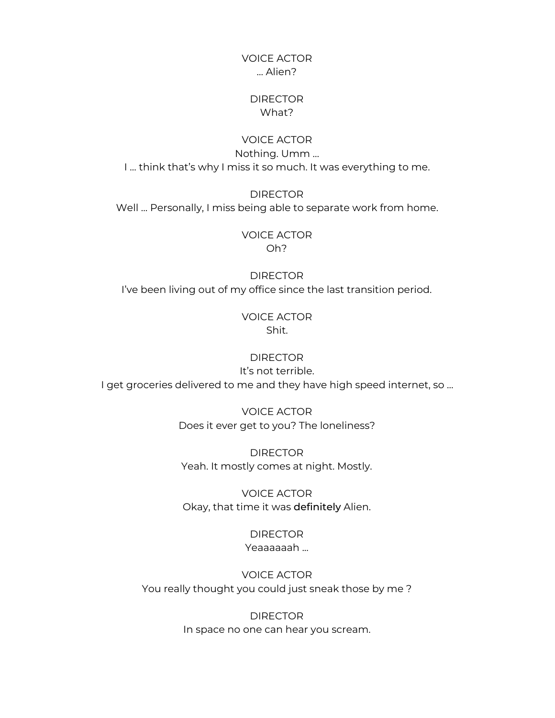#### VOICE ACTOR … Alien?

#### **DIRECTOR** What?

VOICE ACTOR Nothing. Umm … I … think that's why I miss it so much. It was everything to me.

**DIRECTOR** Well … Personally, I miss being able to separate work from home.

> VOICE ACTOR Oh?

**DIRECTOR** I've been living out of my office since the last transition period.

#### VOICE ACTOR Shit.

# **DIRECTOR**

It's not terrible. I get groceries delivered to me and they have high speed internet, so …

> VOICE ACTOR Does it ever get to you? The loneliness?

DIRECTOR Yeah. It mostly comes at night. Mostly.

VOICE ACTOR Okay, that time it was definitely Alien.

> **DIRECTOR** Yeaaaaaah ...

VOICE ACTOR You really thought you could just sneak those by me ?

> **DIRECTOR** In space no one can hear you scream.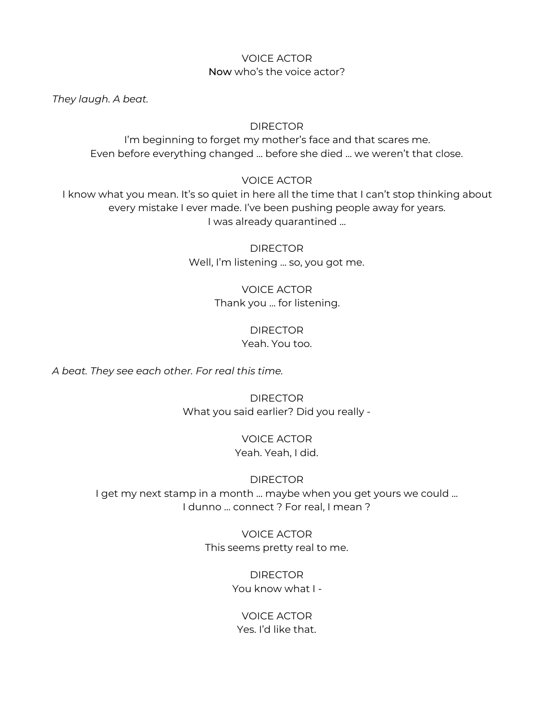# VOICE ACTOR Now who's the voice actor?

*They laugh. A beat.*

#### **DIRECTOR**

I'm beginning to forget my mother's face and that scares me. Even before everything changed … before she died … we weren't that close.

VOICE ACTOR

I know what you mean. It's so quiet in here all the time that I can't stop thinking about every mistake I ever made. I've been pushing people away for years. I was already quarantined ...

> DIRECTOR Well, I'm listening … so, you got me.

# VOICE ACTOR Thank you … for listening.

DIRECTOR Yeah. You too.

*A beat. They see each other. For real this time.*

DIRECTOR What you said earlier? Did you really -

> VOICE ACTOR Yeah. Yeah, I did.

#### DIRECTOR

I get my next stamp in a month ... maybe when you get yours we could ... I dunno … connect ? For real, I mean ?

> VOICE ACTOR This seems pretty real to me.

> > **DIRECTOR** You know what I -

VOICE ACTOR Yes. I'd like that.